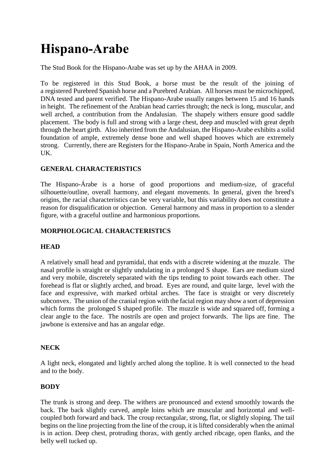# **Hispano-Arabe**

The Stud Book for the Hispano-Arabe was set up by the AHAA in 2009.

To be registered in this Stud Book, a horse must be the result of the joining of a registered Purebred Spanish horse and a Purebred Arabian. All horses must be microchipped, DNA tested and parent verified. The Hispano-Arabe usually ranges between 15 and 16 hands in height. The refinement of the Arabian head carries through; the neck is long, muscular, and well arched, a contribution from the Andalusian. The shapely withers ensure good saddle placement. The body is full and strong with a large chest, deep and muscled with great depth through the heart girth. Also inherited from the Andalusian, the Hispano-Arabe exhibits a solid foundation of ample, extremely dense bone and well shaped hooves which are extremely strong. Currently, there are Registers for the Hispano-Arabe in Spain, North America and the UK.

## **GENERAL CHARACTERISTICS**

The Hispano-Árabe is a horse of good proportions and medium-size, of graceful silhouette/outline, overall harmony, and elegant movements. In general, given the breed's origins, the racial characteristics can be very variable, but this variability does not constitute a reason for disqualification or objection. General harmony and mass in proportion to a slender figure, with a graceful outline and harmonious proportions.

## **MORPHOLOGICAL CHARACTERISTICS**

## **HEAD**

A relatively small head and pyramidal, that ends with a discrete widening at the muzzle. The nasal profile is straight or slightly undulating in a prolonged S shape. Ears are medium sized and very mobile, discretely separated with the tips tending to point towards each other. The forehead is flat or slightly arched, and broad. Eyes are round, and quite large, level with the face and expressive, with marked orbital arches. The face is straight or very discretely subconvex. The union of the cranial region with the facial region may show a sort of depression which forms the prolonged S shaped profile. The muzzle is wide and squared off, forming a clear angle to the face. The nostrils are open and project forwards. The lips are fine. The jawbone is extensive and has an angular edge.

## **NECK**

A light neck, elongated and lightly arched along the topline. It is well connected to the head and to the body.

## **BODY**

The trunk is strong and deep. The withers are pronounced and extend smoothly towards the back. The back slightly curved, ample loins which are muscular and horizontal and wellcoupled both forward and back. The croup rectangular, strong, flat, or slightly sloping. The tail begins on the line projecting from the line of the croup, it is lifted considerably when the animal is in action. Deep chest, protruding thorax, with gently arched ribcage, open flanks, and the belly well tucked up.